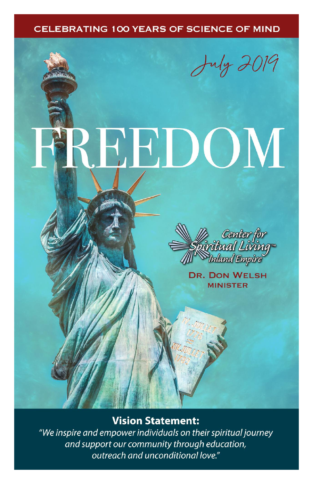#### **CELEBRATING 100 YEARS OF SCIENCE OF MIND**

July 2019

# CEDOM



**DR. DON WELSH MINISTER** 

#### **Vision Statement:**

"We inspire and empower individuals on their spiritual journey and support our community through education, outreach and unconditional love."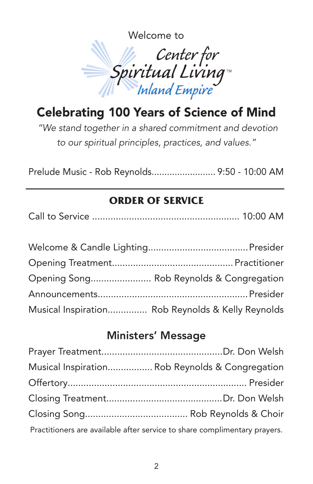

# Celebrating 100 Years of Science of Mind

*"We stand together in a shared commitment and devotion to our spiritual principles, practices, and values."*

Prelude Music - Rob Reynolds......................... 9:50 - 10:00 AM

### **ORDER OF SERVICE**

| Opening Song Rob Reynolds & Congregation          |
|---------------------------------------------------|
|                                                   |
| Musical Inspiration Rob Reynolds & Kelly Reynolds |

### Ministers' Message

| Musical Inspiration Rob Reynolds & Congregation                           |
|---------------------------------------------------------------------------|
|                                                                           |
|                                                                           |
|                                                                           |
| Practitioners are available after service to share complimentary prayers. |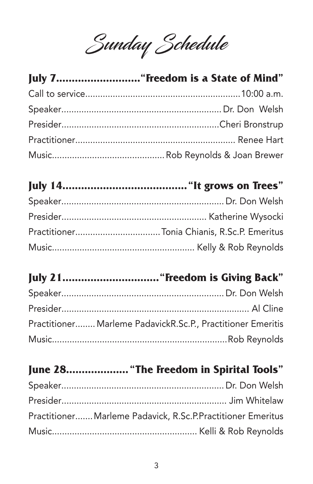Sunday Schedule

# 

### 

### 

| Practitioner Marleme PadavickR.Sc.P., Practitioner Emeritis |  |
|-------------------------------------------------------------|--|
|                                                             |  |

# June 28.................... "The Freedom in Spirital Tools"

| Practitioner Marleme Padavick, R.Sc.P.Practitioner Emeritus |  |
|-------------------------------------------------------------|--|
|                                                             |  |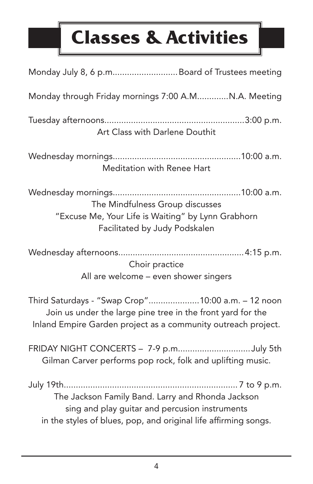# **Classes & Activities**

| Monday July 8, 6 p.m Board of Trustees meeting                                                                                                                                    |
|-----------------------------------------------------------------------------------------------------------------------------------------------------------------------------------|
| Monday through Friday mornings 7:00 A.MN.A. Meeting                                                                                                                               |
| Art Class with Darlene Douthit                                                                                                                                                    |
| Meditation with Renee Hart                                                                                                                                                        |
| The Mindfulness Group discusses<br>"Excuse Me, Your Life is Waiting" by Lynn Grabhorn<br>Facilitated by Judy Podskalen                                                            |
| Choir practice<br>All are welcome - even shower singers                                                                                                                           |
| Third Saturdays - "Swap Crop"10:00 a.m. - 12 noon<br>Join us under the large pine tree in the front yard for the<br>Inland Empire Garden project as a community outreach project. |
| FRIDAY NIGHT CONCERTS - 7-9 p.mJuly 5th<br>Gilman Carver performs pop rock, folk and uplifting music.                                                                             |
| The Jackson Family Band. Larry and Rhonda Jackson<br>sing and play guitar and percusion instruments<br>in the styles of blues, pop, and original life affirming songs.            |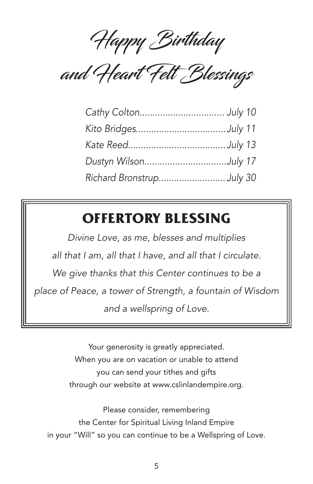Happy Birthday

and Heart Felt Blessings

| Dustyn WilsonJuly 17     |  |
|--------------------------|--|
| Richard BronstrupJuly 30 |  |

# **OFFERTORY BLESSING**

*Divine Love, as me, blesses and multiplies all that I am, all that I have, and all that I circulate. We give thanks that this Center continues to be a place of Peace, a tower of Strength, a fountain of Wisdom and a wellspring of Love.*

> Your generosity is greatly appreciated. When you are on vacation or unable to attend you can send your tithes and gifts through our website at www.cslinlandempire.org.

Please consider, remembering the Center for Spiritual Living Inland Empire in your "Will" so you can continue to be a Wellspring of Love.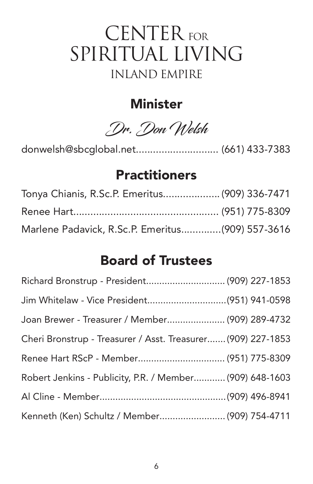# CENTER FOR SPIRITUAL LIVING INLAND EMPIRE

### **Minister**

Dr. Don Welsh

donwelsh@sbcglobal.net............................. (661) 433-7383

### **Practitioners**

| Tonya Chianis, R.Sc.P. Emeritus (909) 336-7471   |  |
|--------------------------------------------------|--|
|                                                  |  |
| Marlene Padavick, R.Sc.P. Emeritus(909) 557-3616 |  |

## Board of Trustees

| Richard Bronstrup - President (909) 227-1853                 |  |
|--------------------------------------------------------------|--|
| Jim Whitelaw - Vice President(951) 941-0598                  |  |
| Joan Brewer - Treasurer / Member (909) 289-4732              |  |
| Cheri Bronstrup - Treasurer / Asst. Treasurer (909) 227-1853 |  |
|                                                              |  |
| Robert Jenkins - Publicity, P.R. / Member (909) 648-1603     |  |
|                                                              |  |
| Kenneth (Ken) Schultz / Member (909) 754-4711                |  |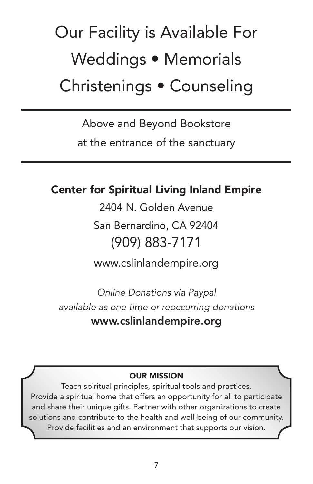# Our Facility is Available For Weddings • Memorials Christenings • Counseling

Above and Beyond Bookstore

at the entrance of the sanctuary

### Center for Spiritual Living Inland Empire

2404 N. Golden Avenue

San Bernardino, CA 92404 (909) 883-7171

www.cslinlandempire.org

*Online Donations via Paypal available as one time or reoccurring donations* www.cslinlandempire.org

#### OUR MISSION

Teach spiritual principles, spiritual tools and practices. Provide a spiritual home that offers an opportunity for all to participate and share their unique gifts. Partner with other organizations to create solutions and contribute to the health and well-being of our community. Provide facilities and an environment that supports our vision.